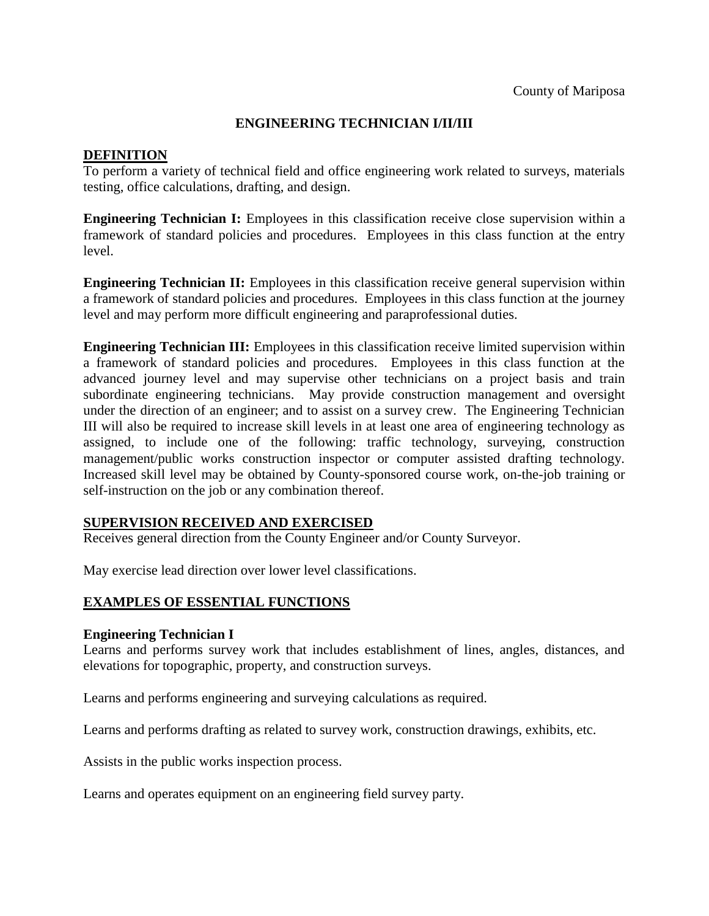# **ENGINEERING TECHNICIAN I/II/III**

## **DEFINITION**

To perform a variety of technical field and office engineering work related to surveys, materials testing, office calculations, drafting, and design.

**Engineering Technician I:** Employees in this classification receive close supervision within a framework of standard policies and procedures. Employees in this class function at the entry level.

**Engineering Technician II:** Employees in this classification receive general supervision within a framework of standard policies and procedures. Employees in this class function at the journey level and may perform more difficult engineering and paraprofessional duties.

**Engineering Technician III:** Employees in this classification receive limited supervision within a framework of standard policies and procedures. Employees in this class function at the advanced journey level and may supervise other technicians on a project basis and train subordinate engineering technicians. May provide construction management and oversight under the direction of an engineer; and to assist on a survey crew. The Engineering Technician III will also be required to increase skill levels in at least one area of engineering technology as assigned, to include one of the following: traffic technology, surveying, construction management/public works construction inspector or computer assisted drafting technology. Increased skill level may be obtained by County-sponsored course work, on-the-job training or self-instruction on the job or any combination thereof.

## **SUPERVISION RECEIVED AND EXERCISED**

Receives general direction from the County Engineer and/or County Surveyor.

May exercise lead direction over lower level classifications.

## **EXAMPLES OF ESSENTIAL FUNCTIONS**

#### **Engineering Technician I**

Learns and performs survey work that includes establishment of lines, angles, distances, and elevations for topographic, property, and construction surveys.

Learns and performs engineering and surveying calculations as required.

Learns and performs drafting as related to survey work, construction drawings, exhibits, etc.

Assists in the public works inspection process.

Learns and operates equipment on an engineering field survey party.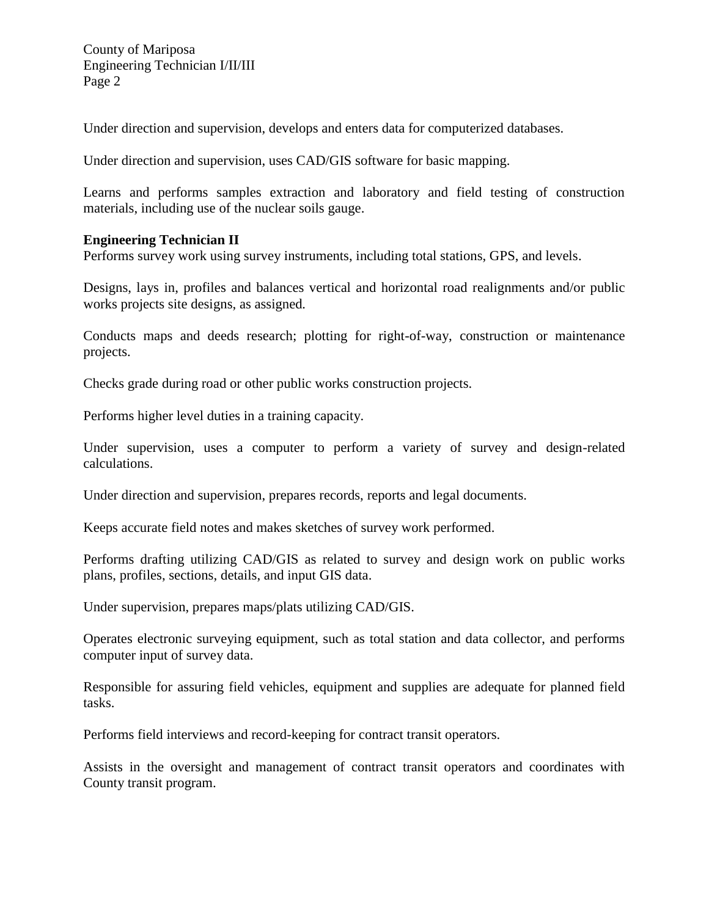Under direction and supervision, develops and enters data for computerized databases.

Under direction and supervision, uses CAD/GIS software for basic mapping.

Learns and performs samples extraction and laboratory and field testing of construction materials, including use of the nuclear soils gauge.

## **Engineering Technician II**

Performs survey work using survey instruments, including total stations, GPS, and levels.

Designs, lays in, profiles and balances vertical and horizontal road realignments and/or public works projects site designs, as assigned*.*

Conducts maps and deeds research; plotting for right-of-way, construction or maintenance projects.

Checks grade during road or other public works construction projects.

Performs higher level duties in a training capacity.

Under supervision, uses a computer to perform a variety of survey and design-related calculations.

Under direction and supervision, prepares records, reports and legal documents.

Keeps accurate field notes and makes sketches of survey work performed.

Performs drafting utilizing CAD/GIS as related to survey and design work on public works plans, profiles, sections, details, and input GIS data.

Under supervision, prepares maps/plats utilizing CAD/GIS.

Operates electronic surveying equipment, such as total station and data collector, and performs computer input of survey data.

Responsible for assuring field vehicles, equipment and supplies are adequate for planned field tasks.

Performs field interviews and record-keeping for contract transit operators.

Assists in the oversight and management of contract transit operators and coordinates with County transit program.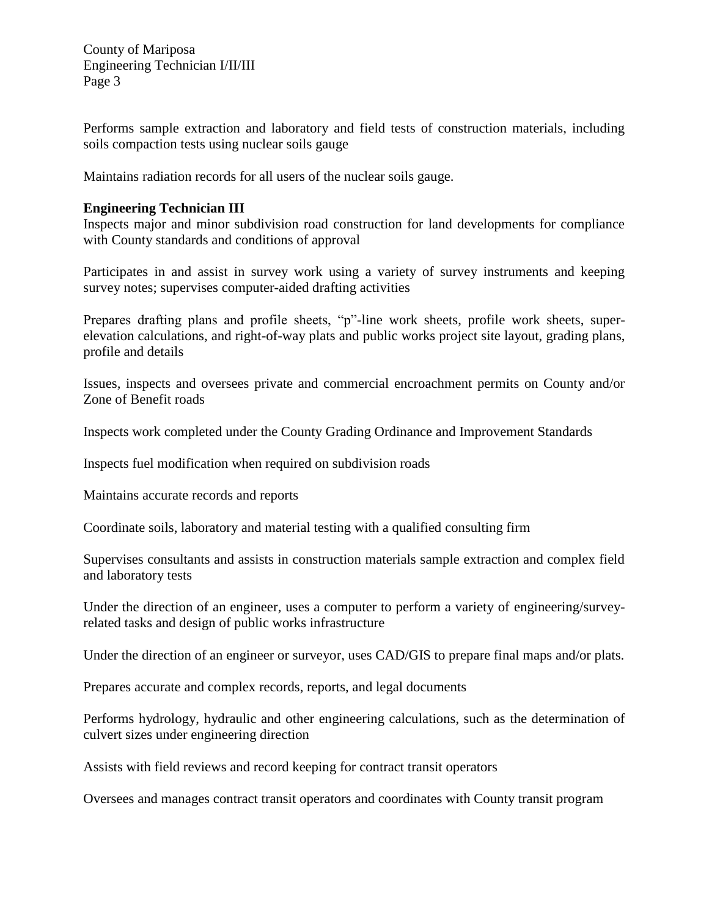Performs sample extraction and laboratory and field tests of construction materials, including soils compaction tests using nuclear soils gauge

Maintains radiation records for all users of the nuclear soils gauge.

### **Engineering Technician III**

Inspects major and minor subdivision road construction for land developments for compliance with County standards and conditions of approval

Participates in and assist in survey work using a variety of survey instruments and keeping survey notes; supervises computer-aided drafting activities

Prepares drafting plans and profile sheets, "p"-line work sheets, profile work sheets, superelevation calculations, and right-of-way plats and public works project site layout, grading plans, profile and details

Issues*,* inspects and oversees private and commercial encroachment permits on County and/or Zone of Benefit roads

Inspects work completed under the County Grading Ordinance and Improvement Standards

Inspects fuel modification when required on subdivision roads

Maintains accurate records and reports

Coordinate soils, laboratory and material testing with a qualified consulting firm

Supervises consultants and assists in construction materials sample extraction and complex field and laboratory tests

Under the direction of an engineer*,* uses a computer to perform a variety of engineering/surveyrelated tasks and design of public works infrastructure

Under the direction of an engineer or surveyor, uses CAD/GIS to prepare final maps and/or plats.

Prepares accurate and complex records, reports, and legal documents

Performs hydrology, hydraulic and other engineering calculations, such as the determination of culvert sizes under engineering direction

Assists with field reviews and record keeping for contract transit operators

Oversees and manages contract transit operators and coordinates with County transit program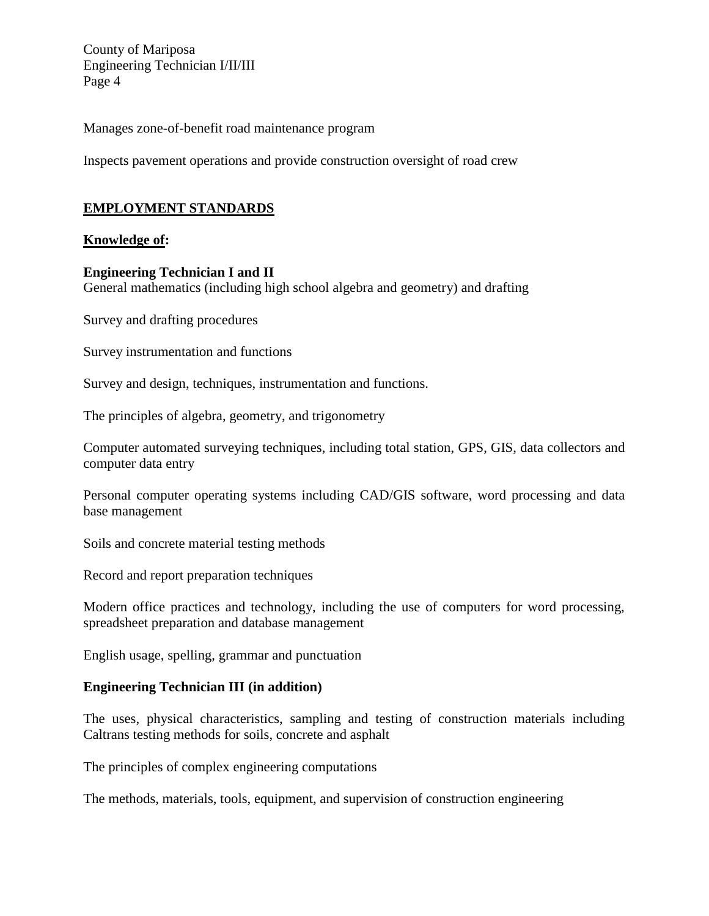Manages zone-of-benefit road maintenance program

Inspects pavement operations and provide construction oversight of road crew

# **EMPLOYMENT STANDARDS**

#### **Knowledge of:**

#### **Engineering Technician I and II**

General mathematics (including high school algebra and geometry) and drafting

Survey and drafting procedures

Survey instrumentation and functions

Survey and design, techniques, instrumentation and functions.

The principles of algebra, geometry, and trigonometry

Computer automated surveying techniques, including total station, GPS, GIS, data collectors and computer data entry

Personal computer operating systems including CAD/GIS software, word processing and data base management

Soils and concrete material testing methods

Record and report preparation techniques

Modern office practices and technology, including the use of computers for word processing, spreadsheet preparation and database management

English usage, spelling, grammar and punctuation

# **Engineering Technician III (in addition)**

The uses, physical characteristics, sampling and testing of construction materials including Caltrans testing methods for soils, concrete and asphalt

The principles of complex engineering computations

The methods, materials, tools, equipment, and supervision of construction engineering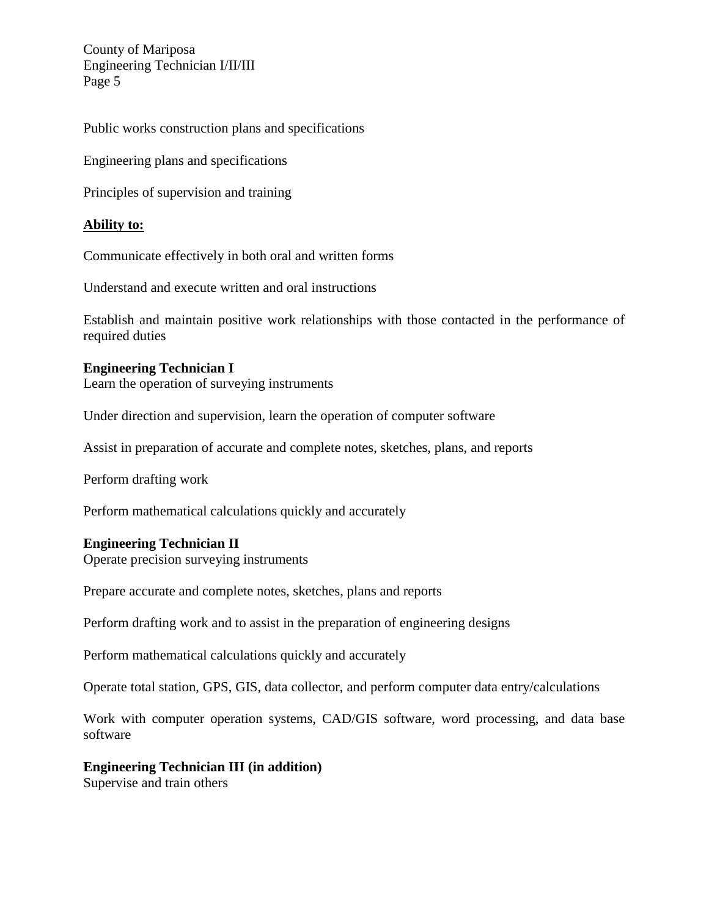Public works construction plans and specifications

Engineering plans and specifications

Principles of supervision and training

# **Ability to:**

Communicate effectively in both oral and written forms

Understand and execute written and oral instructions

Establish and maintain positive work relationships with those contacted in the performance of required duties

# **Engineering Technician I**

Learn the operation of surveying instruments

Under direction and supervision, learn the operation of computer software

Assist in preparation of accurate and complete notes, sketches, plans, and reports

Perform drafting work

Perform mathematical calculations quickly and accurately

## **Engineering Technician II**

Operate precision surveying instruments

Prepare accurate and complete notes, sketches, plans and reports

Perform drafting work and to assist in the preparation of engineering designs

Perform mathematical calculations quickly and accurately

Operate total station, GPS, GIS, data collector, and perform computer data entry/calculations

Work with computer operation systems, CAD/GIS software, word processing, and data base software

## **Engineering Technician III (in addition)**

Supervise and train others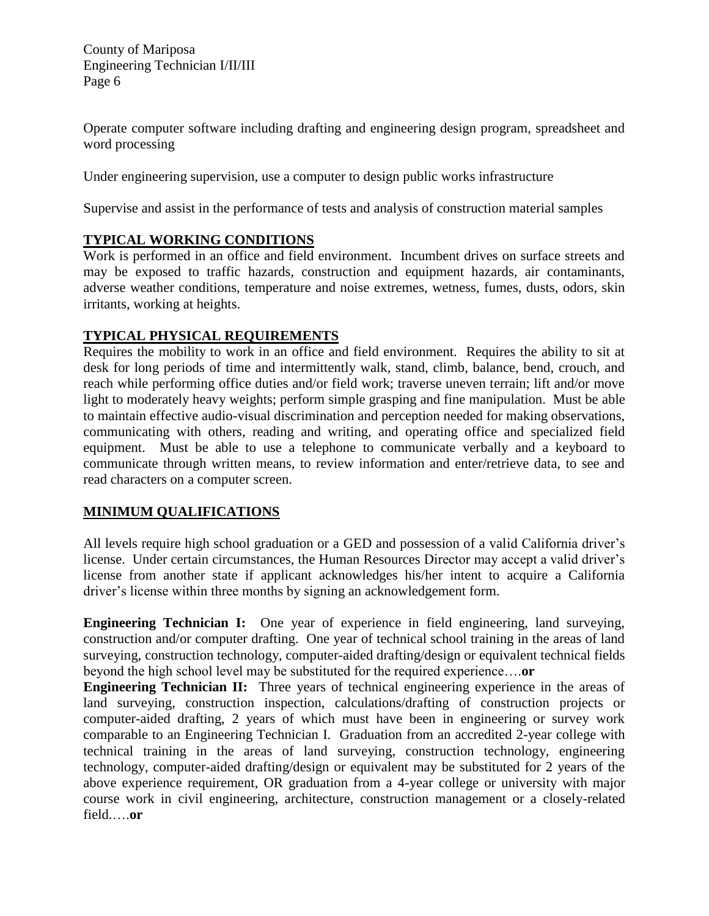Operate computer software including drafting and engineering design program, spreadsheet and word processing

Under engineering supervision, use a computer to design public works infrastructure

Supervise and assist in the performance of tests and analysis of construction material samples

# **TYPICAL WORKING CONDITIONS**

Work is performed in an office and field environment. Incumbent drives on surface streets and may be exposed to traffic hazards, construction and equipment hazards, air contaminants, adverse weather conditions, temperature and noise extremes, wetness, fumes, dusts, odors, skin irritants, working at heights.

# **TYPICAL PHYSICAL REQUIREMENTS**

Requires the mobility to work in an office and field environment. Requires the ability to sit at desk for long periods of time and intermittently walk, stand, climb, balance, bend, crouch, and reach while performing office duties and/or field work; traverse uneven terrain; lift and/or move light to moderately heavy weights; perform simple grasping and fine manipulation. Must be able to maintain effective audio-visual discrimination and perception needed for making observations, communicating with others, reading and writing, and operating office and specialized field equipment. Must be able to use a telephone to communicate verbally and a keyboard to communicate through written means, to review information and enter/retrieve data, to see and read characters on a computer screen.

# **MINIMUM QUALIFICATIONS**

All levels require high school graduation or a GED and possession of a valid California driver's license. Under certain circumstances, the Human Resources Director may accept a valid driver's license from another state if applicant acknowledges his/her intent to acquire a California driver's license within three months by signing an acknowledgement form.

**Engineering Technician I:** One year of experience in field engineering, land surveying, construction and/or computer drafting. One year of technical school training in the areas of land surveying, construction technology, computer-aided drafting/design or equivalent technical fields beyond the high school level may be substituted for the required experience….**or**

**Engineering Technician II:** Three years of technical engineering experience in the areas of land surveying, construction inspection, calculations/drafting of construction projects or computer-aided drafting, 2 years of which must have been in engineering or survey work comparable to an Engineering Technician I. Graduation from an accredited 2-year college with technical training in the areas of land surveying, construction technology, engineering technology, computer-aided drafting/design or equivalent may be substituted for 2 years of the above experience requirement, OR graduation from a 4-year college or university with major course work in civil engineering, architecture, construction management or a closely-related field.….**or**